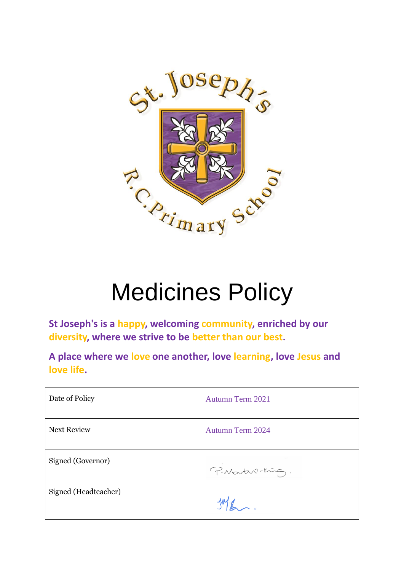

# Medicines Policy

**St Joseph's is a happy, welcoming community, enriched by our diversity, where we strive to be better than our best.**

**A place where we love one another, love learning, love Jesus and love life.**

| Date of Policy       | Autumn Term 2021        |
|----------------------|-------------------------|
| <b>Next Review</b>   | <b>Autumn Term 2024</b> |
| Signed (Governor)    | P. Martin-King.         |
| Signed (Headteacher) |                         |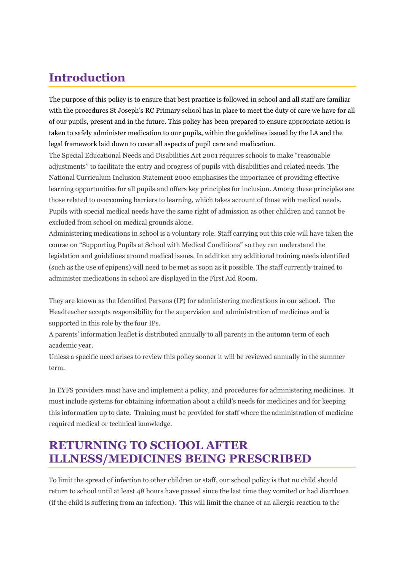# **Introduction**

The purpose of this policy is to ensure that best practice is followed in school and all staff are familiar with the procedures St Joseph's RC Primary school has in place to meet the duty of care we have for all of our pupils, present and in the future. This policy has been prepared to ensure appropriate action is taken to safely administer medication to our pupils, within the guidelines issued by the LA and the legal framework laid down to cover all aspects of pupil care and medication.

The Special Educational Needs and Disabilities Act 2001 requires schools to make "reasonable adjustments" to facilitate the entry and progress of pupils with disabilities and related needs. The National Curriculum Inclusion Statement 2000 emphasises the importance of providing effective learning opportunities for all pupils and offers key principles for inclusion. Among these principles are those related to overcoming barriers to learning, which takes account of those with medical needs. Pupils with special medical needs have the same right of admission as other children and cannot be excluded from school on medical grounds alone.

Administering medications in school is a voluntary role. Staff carrying out this role will have taken the course on "Supporting Pupils at School with Medical Conditions" so they can understand the legislation and guidelines around medical issues. In addition any additional training needs identified (such as the use of epipens) will need to be met as soon as it possible. The staff currently trained to administer medications in school are displayed in the First Aid Room.

They are known as the Identified Persons (IP) for administering medications in our school. The Headteacher accepts responsibility for the supervision and administration of medicines and is supported in this role by the four IPs.

A parents' information leaflet is distributed annually to all parents in the autumn term of each academic year.

Unless a specific need arises to review this policy sooner it will be reviewed annually in the summer term.

In EYFS providers must have and implement a policy, and procedures for administering medicines. It must include systems for obtaining information about a child's needs for medicines and for keeping this information up to date. Training must be provided for staff where the administration of medicine required medical or technical knowledge.

# **RETURNING TO SCHOOL AFTER ILLNESS/MEDICINES BEING PRESCRIBED**

To limit the spread of infection to other children or staff, our school policy is that no child should return to school until at least 48 hours have passed since the last time they vomited or had diarrhoea (if the child is suffering from an infection). This will limit the chance of an allergic reaction to the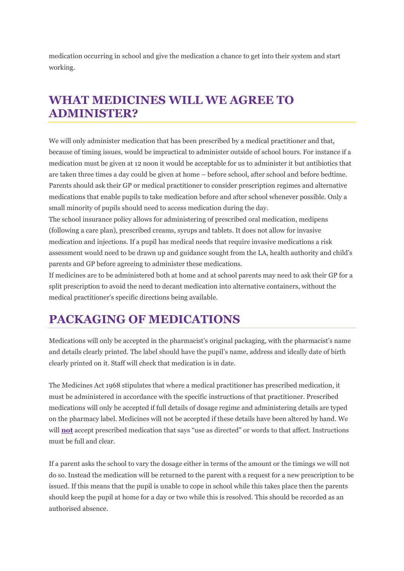medication occurring in school and give the medication a chance to get into their system and start working.

# **WHAT MEDICINES WILL WE AGREE TO ADMINISTER?**

We will only administer medication that has been prescribed by a medical practitioner and that, because of timing issues, would be impractical to administer outside of school hours. For instance if a medication must be given at 12 noon it would be acceptable for us to administer it but antibiotics that are taken three times a day could be given at home – before school, after school and before bedtime. Parents should ask their GP or medical practitioner to consider prescription regimes and alternative medications that enable pupils to take medication before and after school whenever possible. Only a small minority of pupils should need to access medication during the day.

The school insurance policy allows for administering of prescribed oral medication, medipens (following a care plan), prescribed creams, syrups and tablets. It does not allow for invasive medication and injections. If a pupil has medical needs that require invasive medications a risk assessment would need to be drawn up and guidance sought from the LA, health authority and child's parents and GP before agreeing to administer these medications.

If medicines are to be administered both at home and at school parents may need to ask their GP for a split prescription to avoid the need to decant medication into alternative containers, without the medical practitioner's specific directions being available.

# **PACKAGING OF MEDICATIONS**

Medications will only be accepted in the pharmacist's original packaging, with the pharmacist's name and details clearly printed. The label should have the pupil's name, address and ideally date of birth clearly printed on it. Staff will check that medication is in date.

The Medicines Act 1968 stipulates that where a medical practitioner has prescribed medication, it must be administered in accordance with the specific instructions of that practitioner. Prescribed medications will only be accepted if full details of dosage regime and administering details are typed on the pharmacy label. Medicines will not be accepted if these details have been altered by hand. We will **not** accept prescribed medication that says "use as directed" or words to that affect. Instructions must be full and clear.

If a parent asks the school to vary the dosage either in terms of the amount or the timings we will not do so. Instead the medication will be returned to the parent with a request for a new prescription to be issued. If this means that the pupil is unable to cope in school while this takes place then the parents should keep the pupil at home for a day or two while this is resolved. This should be recorded as an authorised absence.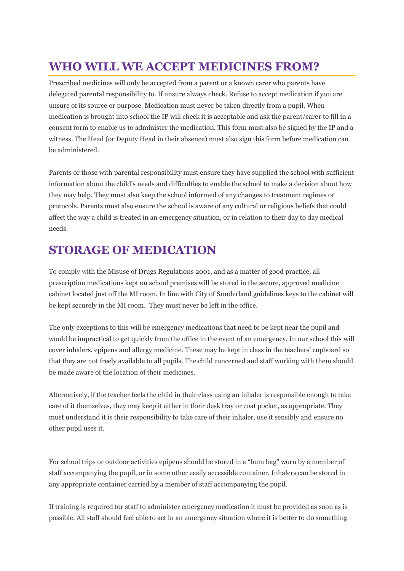# **WHO WILL WE ACCEPT MEDICINES FROM?**

Prescribed medicines will only be accepted from a parent or a known carer who parents have delegated parental responsibility to. If unsure always check. Refuse to accept medication if you are unsure of its source or purpose. Medication must never be taken directly from a pupil. When medication is brought into school the IP will check it is acceptable and ask the parent/carer to fill in a consent form to enable us to administer the medication. This form must also be signed by the IP and a witness. The Head (or Deputy Head in their absence) must also sign this form before medication can be administered.

Parents or those with parental responsibility must ensure they have supplied the school with sufficient information about the child's needs and difficulties to enable the school to make a decision about how they may help. They must also keep the school informed of any changes to treatment regimes or protocols. Parents must also ensure the school is aware of any cultural or religious beliefs that could affect the way a child is treated in an emergency situation, or in relation to their day to day medical needs.

# **STORAGE OF MEDICATION**

To comply with the Misuse of Drugs Regulations 2001, and as a matter of good practice, all prescription medications kept on school premises will be stored in the secure, approved medicine cabinet located just off the MI room. In line with City of Sunderland guidelines keys to the cabinet will be kept securely in the MI room. They must never be left in the office.

The only exceptions to this will be emergency medications that need to be kept near the pupil and would be impractical to get quickly from the office in the event of an emergency. In our school this will cover inhalers, epipens and allergy medicine. These may be kept in class in the teachers' cupboard so that they are not freely available to all pupils. The child concerned and staff working with them should be made aware of the location of their medicines.

Alternatively, if the teacher feels the child in their class using an inhaler is responsible enough to take care of it themselves, they may keep it either in their desk tray or coat pocket, as appropriate. They must understand it is their responsibility to take care of their inhaler, use it sensibly and ensure no other pupil uses it.

For school trips or outdoor activities epipens should be stored in a "bum bag" worn by a member of staff accompanying the pupil, or in some other easily accessible container. Inhalers can be stored in any appropriate container carried by a member of staff accompanying the pupil.

If training is required for staff to administer emergency medication it must be provided as soon as is possible. All staff should feel able to act in an emergency situation where it is better to do something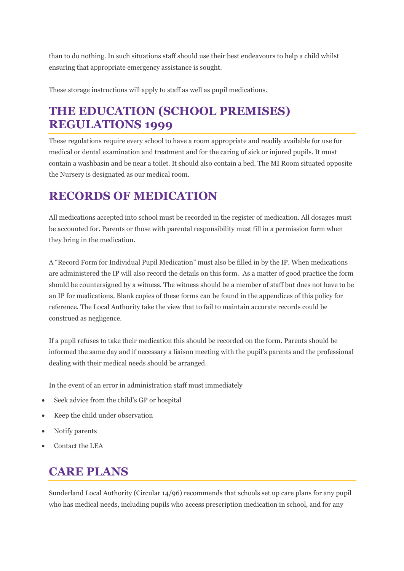than to do nothing. In such situations staff should use their best endeavours to help a child whilst ensuring that appropriate emergency assistance is sought.

These storage instructions will apply to staff as well as pupil medications.

# **THE EDUCATION (SCHOOL PREMISES) REGULATIONS 1999**

These regulations require every school to have a room appropriate and readily available for use for medical or dental examination and treatment and for the caring of sick or injured pupils. It must contain a washbasin and be near a toilet. It should also contain a bed. The MI Room situated opposite the Nursery is designated as our medical room.

# **RECORDS OF MEDICATION**

All medications accepted into school must be recorded in the register of medication. All dosages must be accounted for. Parents or those with parental responsibility must fill in a permission form when they bring in the medication.

A "Record Form for Individual Pupil Medication" must also be filled in by the IP. When medications are administered the IP will also record the details on this form. As a matter of good practice the form should be countersigned by a witness. The witness should be a member of staff but does not have to be an IP for medications. Blank copies of these forms can be found in the appendices of this policy for reference. The Local Authority take the view that to fail to maintain accurate records could be construed as negligence.

If a pupil refuses to take their medication this should be recorded on the form. Parents should be informed the same day and if necessary a liaison meeting with the pupil's parents and the professional dealing with their medical needs should be arranged.

In the event of an error in administration staff must immediately

- Seek advice from the child's GP or hospital
- Keep the child under observation
- Notify parents
- Contact the LEA

#### **CARE PLANS**

Sunderland Local Authority (Circular 14/96) recommends that schools set up care plans for any pupil who has medical needs, including pupils who access prescription medication in school, and for any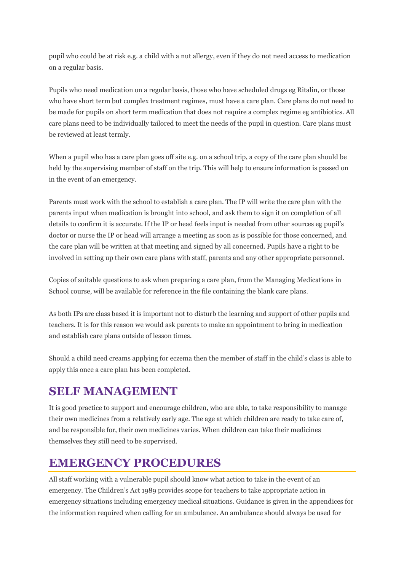pupil who could be at risk e.g. a child with a nut allergy, even if they do not need access to medication on a regular basis.

Pupils who need medication on a regular basis, those who have scheduled drugs eg Ritalin, or those who have short term but complex treatment regimes, must have a care plan. Care plans do not need to be made for pupils on short term medication that does not require a complex regime eg antibiotics. All care plans need to be individually tailored to meet the needs of the pupil in question. Care plans must be reviewed at least termly.

When a pupil who has a care plan goes off site e.g. on a school trip, a copy of the care plan should be held by the supervising member of staff on the trip. This will help to ensure information is passed on in the event of an emergency.

Parents must work with the school to establish a care plan. The IP will write the care plan with the parents input when medication is brought into school, and ask them to sign it on completion of all details to confirm it is accurate. If the IP or head feels input is needed from other sources eg pupil's doctor or nurse the IP or head will arrange a meeting as soon as is possible for those concerned, and the care plan will be written at that meeting and signed by all concerned. Pupils have a right to be involved in setting up their own care plans with staff, parents and any other appropriate personnel.

Copies of suitable questions to ask when preparing a care plan, from the Managing Medications in School course, will be available for reference in the file containing the blank care plans.

As both IPs are class based it is important not to disturb the learning and support of other pupils and teachers. It is for this reason we would ask parents to make an appointment to bring in medication and establish care plans outside of lesson times.

Should a child need creams applying for eczema then the member of staff in the child's class is able to apply this once a care plan has been completed.

# **SELF MANAGEMENT**

It is good practice to support and encourage children, who are able, to take responsibility to manage their own medicines from a relatively early age. The age at which children are ready to take care of, and be responsible for, their own medicines varies. When children can take their medicines themselves they still need to be supervised.

# **EMERGENCY PROCEDURES**

All staff working with a vulnerable pupil should know what action to take in the event of an emergency. The Children's Act 1989 provides scope for teachers to take appropriate action in emergency situations including emergency medical situations. Guidance is given in the appendices for the information required when calling for an ambulance. An ambulance should always be used for